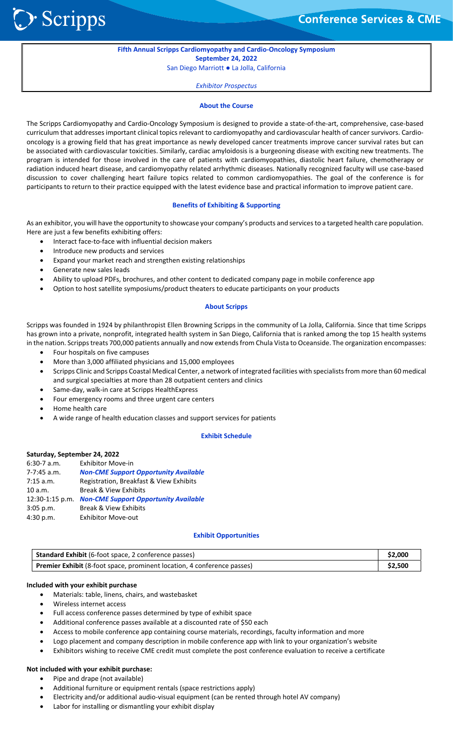> Scripps

֦֘

# **Fifth Annual Scripps Cardiomyopathy and Cardio‐Oncology Symposium September 24, 2022**

San Diego Marriott ● La Jolla, California

#### *Exhibitor Prospectus*

#### **About the Course**

The Scripps Cardiomyopathy and Cardio‐Oncology Symposium is designed to provide a state‐of‐the‐art, comprehensive, case‐based curriculum that addresses important clinical topics relevant to cardiomyopathy and cardiovascular health of cancer survivors. Cardio‐ oncology is a growing field that has great importance as newly developed cancer treatments improve cancer survival rates but can be associated with cardiovascular toxicities. Similarly, cardiac amyloidosis is a burgeoning disease with exciting new treatments. The program is intended for those involved in the care of patients with cardiomyopathies, diastolic heart failure, chemotherapy or radiation induced heart disease, and cardiomyopathy related arrhythmic diseases. Nationally recognized faculty will use case‐based discussion to cover challenging heart failure topics related to common cardiomyopathies. The goal of the conference is for participants to return to their practice equipped with the latest evidence base and practical information to improve patient care.

#### **Benefits of Exhibiting & Supporting**

As an exhibitor, you will have the opportunity to showcase your company's products and services to a targeted health care population. Here are just a few benefits exhibiting offers:

- Interact face-to-face with influential decision makers
- Introduce new products and services
- Expand your market reach and strengthen existing relationships
- Generate new sales leads
- Ability to upload PDFs, brochures, and other content to dedicated company page in mobile conference app
- Option to host satellite symposiums/product theaters to educate participants on your products

#### **About Scripps**

Scripps was founded in 1924 by philanthropist Ellen Browning Scripps in the community of La Jolla, California. Since that time Scripps has grown into a private, nonprofit, integrated health system in San Diego, California that is ranked among the top 15 health systems in the nation. Scripps treats 700,000 patients annually and now extends from Chula Vista to Oceanside. The organization encompasses:

- Four hospitals on five campuses
- More than 3,000 affiliated physicians and 15,000 employees
- Scripps Clinic and Scripps Coastal Medical Center, a network of integrated facilities with specialists from more than 60 medical and surgical specialties at more than 28 outpatient centers and clinics
- Same‐day, walk‐in care at Scripps HealthExpress
- Four emergency rooms and three urgent care centers
- Home health care
- A wide range of health education classes and support services for patients

#### **Exhibit Schedule**

#### **Saturday, September 24, 2022**

| $6:30-7$ a.m.   | <b>Exhibitor Move-in</b>                     |
|-----------------|----------------------------------------------|
| $7 - 7:45$ a.m. | <b>Non-CME Support Opportunity Available</b> |
| $7:15$ a.m.     | Registration, Breakfast & View Exhibits      |
| 10 a.m.         | <b>Break &amp; View Exhibits</b>             |
| 12:30-1:15 p.m. | <b>Non-CME Support Opportunity Available</b> |
| $3:05$ p.m.     | <b>Break &amp; View Exhibits</b>             |
| 4:30 p.m.       | <b>Exhibitor Move-out</b>                    |
|                 |                                              |

#### **Exhibit Opportunities**

| Standard Exhibit (6-foot space, 2 conference passes)                    |  |
|-------------------------------------------------------------------------|--|
| Premier Exhibit (8-foot space, prominent location, 4 conference passes) |  |

#### **Included with your exhibit purchase**

- Materials: table, linens, chairs, and wastebasket
- Wireless internet access
- Full access conference passes determined by type of exhibit space
- Additional conference passes available at a discounted rate of \$50 each
- Access to mobile conference app containing course materials, recordings, faculty information and more
- Logo placement and company description in mobile conference app with link to your organization's website
- Exhibitors wishing to receive CME credit must complete the post conference evaluation to receive a certificate

#### **Not included with your exhibit purchase:**

- Pipe and drape (not available)
- Additional furniture or equipment rentals (space restrictions apply)
- Electricity and/or additional audio‐visual equipment (can be rented through hotel AV company)
- Labor for installing or dismantling your exhibit display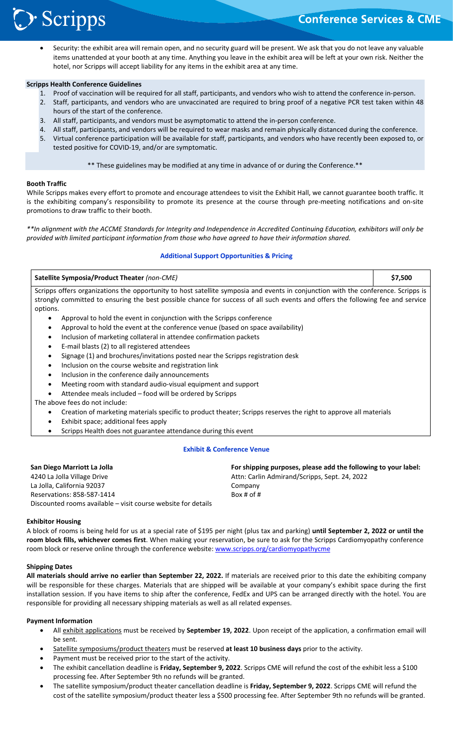# **Conference Services & CME**

**Scripps** 

֦֘

 Security: the exhibit area will remain open, and no security guard will be present. We ask that you do not leave any valuable items unattended at your booth at any time. Anything you leave in the exhibit area will be left at your own risk. Neither the hotel, nor Scripps will accept liability for any items in the exhibit area at any time.

#### **Scripps Health Conference Guidelines**

- 1. Proof of vaccination will be required for all staff, participants, and vendors who wish to attend the conference in‐person.
- 2. Staff, participants, and vendors who are unvaccinated are required to bring proof of a negative PCR test taken within 48 hours of the start of the conference.
- 3. All staff, participants, and vendors must be asymptomatic to attend the in‐person conference.
- 4. All staff, participants, and vendors will be required to wear masks and remain physically distanced during the conference.
- 5. Virtual conference participation will be available for staff, participants, and vendors who have recently been exposed to, or tested positive for COVID‐19, and/or are symptomatic.

\*\* These guidelines may be modified at any time in advance of or during the Conference.\*\*

## **Booth Traffic**

While Scripps makes every effort to promote and encourage attendees to visit the Exhibit Hall, we cannot guarantee booth traffic. It is the exhibiting company's responsibility to promote its presence at the course through pre-meeting notifications and on-site promotions to draw traffic to their booth.

*\*\*In alignment with the ACCME Standards for Integrity and Independence in Accredited Continuing Education, exhibitors will only be provided with limited participant information from those who have agreed to have their information shared.* 

## **Additional Support Opportunities & Pricing**

| Satellite Symposia/Product Theater (non-CME)                                                                                      |  |  |  |  |
|-----------------------------------------------------------------------------------------------------------------------------------|--|--|--|--|
| Scripps offers organizations the opportunity to host satellite symposia and events in conjunction with the conference. Scripps is |  |  |  |  |
| strongly committed to ensuring the best possible chance for success of all such events and offers the following fee and service   |  |  |  |  |
| options.                                                                                                                          |  |  |  |  |
| Approval to hold the event in conjunction with the Scripps conference<br>٠                                                        |  |  |  |  |
| Approval to hold the event at the conference venue (based on space availability)<br>$\bullet$                                     |  |  |  |  |
| Inclusion of marketing collateral in attendee confirmation packets<br>$\bullet$                                                   |  |  |  |  |
| E-mail blasts (2) to all registered attendees<br>$\bullet$                                                                        |  |  |  |  |
| Signage (1) and brochures/invitations posted near the Scripps registration desk<br>$\bullet$                                      |  |  |  |  |
| Inclusion on the course website and registration link<br>$\bullet$                                                                |  |  |  |  |
| Inclusion in the conference daily announcements<br>٠                                                                              |  |  |  |  |
| Meeting room with standard audio-visual equipment and support<br>$\bullet$                                                        |  |  |  |  |
| Attendee meals included - food will be ordered by Scripps<br>$\bullet$                                                            |  |  |  |  |
| The above fees do not include:                                                                                                    |  |  |  |  |
| Creation of marketing materials specific to product theater; Scripps reserves the right to approve all materials<br>٠             |  |  |  |  |
| Exhibit space; additional fees apply<br>$\bullet$                                                                                 |  |  |  |  |
| Scripps Health does not guarantee attendance during this event                                                                    |  |  |  |  |

#### **Exhibit & Conference Venue**

| San Diego Marriott La Jolla                                   | For shipping purposes, please add the following to your label: |
|---------------------------------------------------------------|----------------------------------------------------------------|
| 4240 La Jolla Village Drive                                   | Attn: Carlin Admirand/Scripps, Sept. 24, 2022                  |
| La Jolla, California 92037                                    | Company                                                        |
| Reservations: 858-587-1414                                    | Box # of #                                                     |
| Discounted rooms available – visit course website for details |                                                                |

#### **Exhibitor Housing**

A block of rooms is being held for us at a special rate of \$195 per night (plus tax and parking) **until September 2, 2022 or until the room block fills, whichever comes first**. When making your reservation, be sure to ask for the Scripps Cardiomyopathy conference room block or reserve online through the conference website: www.scripps.org/cardiomyopathycme

## **Shipping Dates**

**All materials should arrive no earlier than September 22, 2022.** If materials are received prior to this date the exhibiting company will be responsible for these charges. Materials that are shipped will be available at your company's exhibit space during the first installation session. If you have items to ship after the conference, FedEx and UPS can be arranged directly with the hotel. You are responsible for providing all necessary shipping materials as well as all related expenses.

#### **Payment Information**

- All exhibit applications must be received by **September 19, 2022**. Upon receipt of the application, a confirmation email will be sent.
- Satellite symposiums/product theaters must be reserved **at least 10 business days** prior to the activity.
- Payment must be received prior to the start of the activity.
- The exhibit cancellation deadline is **Friday, September 9, 2022**. Scripps CME will refund the cost of the exhibit less a \$100 processing fee. After September 9th no refunds will be granted.
- The satellite symposium/product theater cancellation deadline is **Friday, September 9, 2022**. Scripps CME will refund the cost of the satellite symposium/product theater less a \$500 processing fee. After September 9th no refunds will be granted.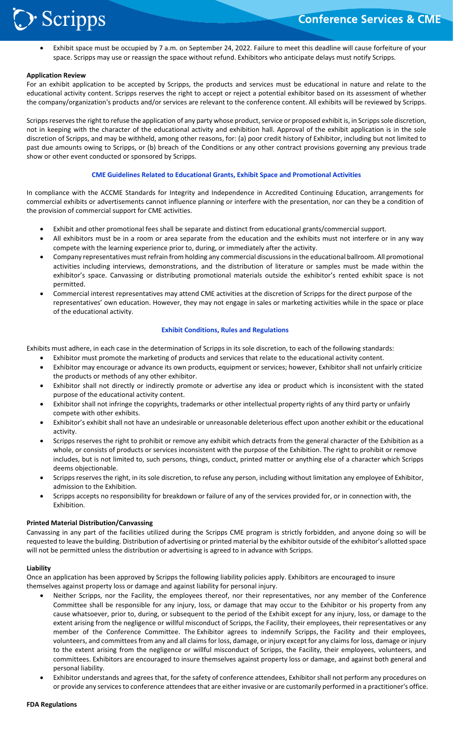

 Exhibit space must be occupied by 7 a.m. on September 24, 2022. Failure to meet this deadline will cause forfeiture of your space. Scripps may use or reassign the space without refund. Exhibitors who anticipate delays must notify Scripps.

#### **Application Review**

֦֘

For an exhibit application to be accepted by Scripps, the products and services must be educational in nature and relate to the educational activity content. Scripps reserves the right to accept or reject a potential exhibitor based on its assessment of whether the company/organization's products and/or services are relevant to the conference content. All exhibits will be reviewed by Scripps.

Scripps reserves the right to refuse the application of any party whose product, service or proposed exhibit is, in Scripps sole discretion, not in keeping with the character of the educational activity and exhibition hall. Approval of the exhibit application is in the sole discretion of Scripps, and may be withheld, among other reasons, for: (a) poor credit history of Exhibitor, including but not limited to past due amounts owing to Scripps, or (b) breach of the Conditions or any other contract provisions governing any previous trade show or other event conducted or sponsored by Scripps.

#### **CME Guidelines Related to Educational Grants, Exhibit Space and Promotional Activities**

In compliance with the ACCME Standards for Integrity and Independence in Accredited Continuing Education, arrangements for commercial exhibits or advertisements cannot influence planning or interfere with the presentation, nor can they be a condition of the provision of commercial support for CME activities.

- Exhibit and other promotional fees shall be separate and distinct from educational grants/commercial support.
- All exhibitors must be in a room or area separate from the education and the exhibits must not interfere or in any way compete with the learning experience prior to, during, or immediately after the activity.
- Company representatives must refrain from holding any commercial discussions in the educational ballroom. All promotional activities including interviews, demonstrations, and the distribution of literature or samples must be made within the exhibitor's space. Canvassing or distributing promotional materials outside the exhibitor's rented exhibit space is not permitted.
- Commercial interest representatives may attend CME activities at the discretion of Scripps for the direct purpose of the representatives' own education. However, they may not engage in sales or marketing activities while in the space or place of the educational activity.

#### **Exhibit Conditions, Rules and Regulations**

Exhibits must adhere, in each case in the determination of Scripps in its sole discretion, to each of the following standards:

- Exhibitor must promote the marketing of products and services that relate to the educational activity content.
- Exhibitor may encourage or advance its own products, equipment or services; however, Exhibitor shall not unfairly criticize the products or methods of any other exhibitor.
- Exhibitor shall not directly or indirectly promote or advertise any idea or product which is inconsistent with the stated purpose of the educational activity content.
- Exhibitor shall not infringe the copyrights, trademarks or other intellectual property rights of any third party or unfairly compete with other exhibits.
- Exhibitor's exhibit shall not have an undesirable or unreasonable deleterious effect upon another exhibit or the educational activity.
- Scripps reserves the right to prohibit or remove any exhibit which detracts from the general character of the Exhibition as a whole, or consists of products or services inconsistent with the purpose of the Exhibition. The right to prohibit or remove includes, but is not limited to, such persons, things, conduct, printed matter or anything else of a character which Scripps deems objectionable.
- Scripps reserves the right, in its sole discretion, to refuse any person, including without limitation any employee of Exhibitor, admission to the Exhibition.
- Scripps accepts no responsibility for breakdown or failure of any of the services provided for, or in connection with, the Exhibition.

#### **Printed Material Distribution/Canvassing**

Canvassing in any part of the facilities utilized during the Scripps CME program is strictly forbidden, and anyone doing so will be requested to leave the building. Distribution of advertising or printed material by the exhibitor outside of the exhibitor's allotted space will not be permitted unless the distribution or advertising is agreed to in advance with Scripps.

#### **Liability**

Once an application has been approved by Scripps the following liability policies apply. Exhibitors are encouraged to insure themselves against property loss or damage and against liability for personal injury.

- Neither Scripps, nor the Facility, the employees thereof, nor their representatives, nor any member of the Conference Committee shall be responsible for any injury, loss, or damage that may occur to the Exhibitor or his property from any cause whatsoever, prior to, during, or subsequent to the period of the Exhibit except for any injury, loss, or damage to the extent arising from the negligence or willful misconduct of Scripps, the Facility, their employees, their representatives or any member of the Conference Committee. The Exhibitor agrees to indemnify Scripps, the Facility and their employees, volunteers, and committees from any and all claims for loss, damage, or injury except for any claims for loss, damage or injury to the extent arising from the negligence or willful misconduct of Scripps, the Facility, their employees, volunteers, and committees. Exhibitors are encouraged to insure themselves against property loss or damage, and against both general and personal liability.
- Exhibitor understands and agrees that, for the safety of conference attendees, Exhibitor shall not perform any procedures on or provide any services to conference attendees that are either invasive or are customarily performed in a practitioner's office.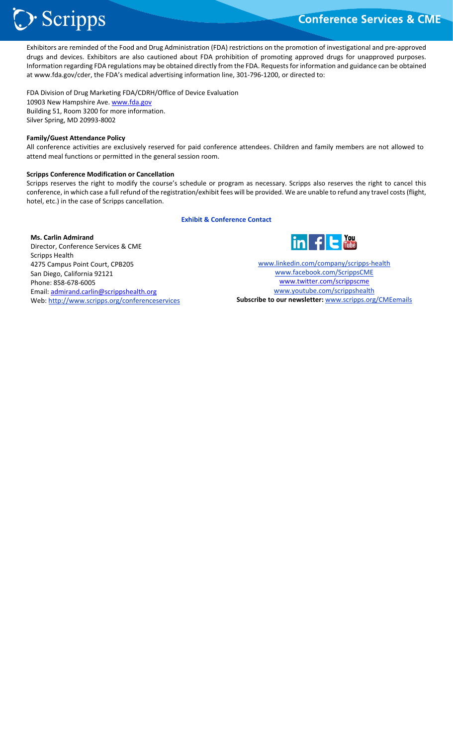# Scripps :

# **Conference Services & CME**

֦֘ Exhibitors are reminded of the Food and Drug Administration (FDA) restrictions on the promotion of investigational and pre‐approved drugs and devices. Exhibitors are also cautioned about FDA prohibition of promoting approved drugs for unapproved purposes. Information regarding FDA regulations may be obtained directly from the FDA. Requests for information and guidance can be obtained at www.fda.gov/cder, the FDA's medical advertising information line, 301‐796‐1200, or directed to:

FDA Division of Drug Marketing FDA/CDRH/Office of Device Evaluation 10903 New Hampshire Ave. www.fda.gov Building 51, Room 3200 for more information. Silver Spring, MD 20993‐8002

#### **Family/Guest Attendance Policy**

All conference activities are exclusively reserved for paid conference attendees. Children and family members are not allowed to attend meal functions or permitted in the general session room.

#### **Scripps Conference Modification or Cancellation**

Scripps reserves the right to modify the course's schedule or program as necessary. Scripps also reserves the right to cancel this conference, in which case a full refund of the registration/exhibit fees will be provided. We are unable to refund any travel costs (flight, hotel, etc.) in the case of Scripps cancellation.

#### **Exhibit & Conference Contact**

#### **Ms. Carlin Admirand**

Director, Conference Services & CME Scripps Health 4275 Campus Point Court, CPB205 San Diego, California 92121 Phone: 858‐678‐6005 Email: admirand.carlin@scrippshealth.org Web: http://www.scripps.org/conferenceservices



www.linkedin.com/company/scripps‐health www.facebook.com/ScrippsCME www.twitter.com/scrippscme www.youtube.com/scrippshealth **Subscribe to our newsletter:** www.scripps.org/CMEemails